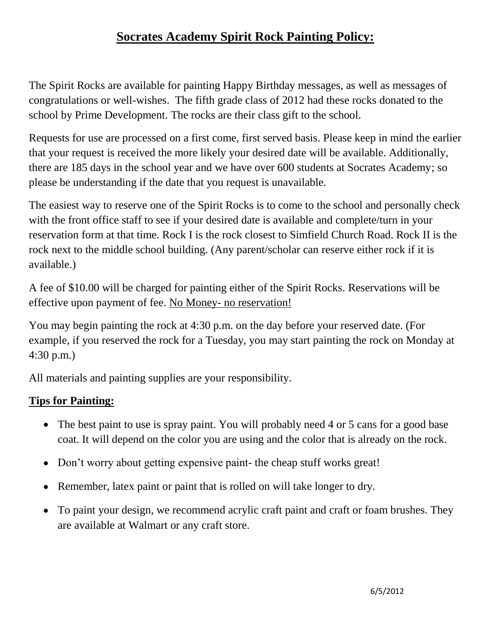## **Socrates Academy Spirit Rock Painting Policy:**

The Spirit Rocks are available for painting Happy Birthday messages, as well as messages of congratulations or well-wishes. The fifth grade class of 2012 had these rocks donated to the school by Prime Development. The rocks are their class gift to the school.

Requests for use are processed on a first come, first served basis. Please keep in mind the earlier that your request is received the more likely your desired date will be available. Additionally, there are 185 days in the school year and we have over 600 students at Socrates Academy; so please be understanding if the date that you request is unavailable.

The easiest way to reserve one of the Spirit Rocks is to come to the school and personally check with the front office staff to see if your desired date is available and complete/turn in your reservation form at that time. Rock I is the rock closest to Simfield Church Road. Rock II is the rock next to the middle school building. (Any parent/scholar can reserve either rock if it is available.)

A fee of \$10.00 will be charged for painting either of the Spirit Rocks. Reservations will be effective upon payment of fee. No Money- no reservation!

You may begin painting the rock at 4:30 p.m. on the day before your reserved date. (For example, if you reserved the rock for a Tuesday, you may start painting the rock on Monday at 4:30 p.m.)

All materials and painting supplies are your responsibility.

## **Tips for Painting:**

- The best paint to use is spray paint. You will probably need 4 or 5 cans for a good base coat. It will depend on the color you are using and the color that is already on the rock.
- Don't worry about getting expensive paint- the cheap stuff works great!
- Remember, latex paint or paint that is rolled on will take longer to dry.
- To paint your design, we recommend acrylic craft paint and craft or foam brushes. They are available at Walmart or any craft store.